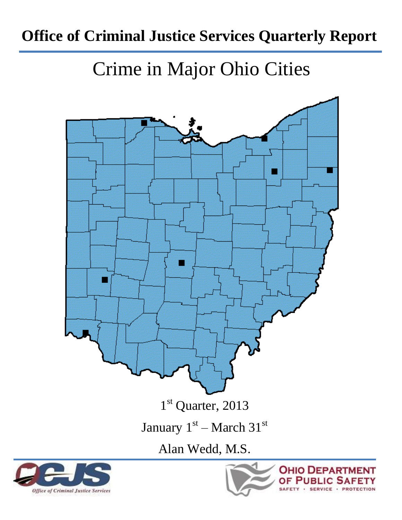# **Office of Criminal Justice Services Quarterly Report**

Crime in Major Ohio Cities

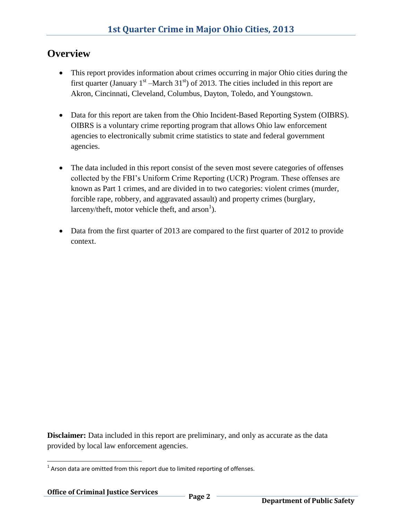#### **Overview**

- This report provides information about crimes occurring in major Ohio cities during the first quarter (January  $1<sup>st</sup>$  –March 31<sup>st</sup>) of 2013. The cities included in this report are Akron, Cincinnati, Cleveland, Columbus, Dayton, Toledo, and Youngstown.
- Data for this report are taken from the Ohio Incident-Based Reporting System (OIBRS). OIBRS is a voluntary crime reporting program that allows Ohio law enforcement agencies to electronically submit crime statistics to state and federal government agencies.
- The data included in this report consist of the seven most severe categories of offenses collected by the FBI's Uniform Crime Reporting (UCR) Program. These offenses are known as Part 1 crimes, and are divided in to two categories: violent crimes (murder, forcible rape, robbery, and aggravated assault) and property crimes (burglary, larceny/theft, motor vehicle theft, and  $arson<sup>1</sup>$ ).
- Data from the first quarter of 2013 are compared to the first quarter of 2012 to provide context.

**Disclaimer:** Data included in this report are preliminary, and only as accurate as the data provided by local law enforcement agencies.

 $\overline{\phantom{a}}$  $1$  Arson data are omitted from this report due to limited reporting of offenses.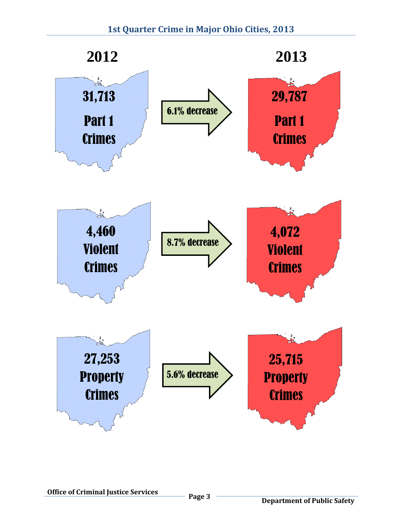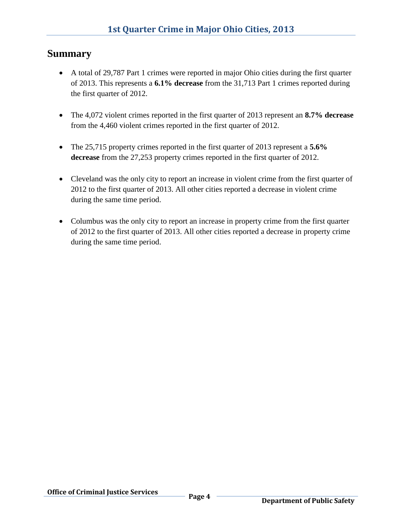#### **Summary**

- A total of 29,787 Part 1 crimes were reported in major Ohio cities during the first quarter of 2013. This represents a **6.1% decrease** from the 31,713 Part 1 crimes reported during the first quarter of 2012.
- The 4,072 violent crimes reported in the first quarter of 2013 represent an **8.7% decrease** from the 4,460 violent crimes reported in the first quarter of 2012.
- The 25,715 property crimes reported in the first quarter of 2013 represent a **5.6% decrease** from the 27,253 property crimes reported in the first quarter of 2012.
- Cleveland was the only city to report an increase in violent crime from the first quarter of 2012 to the first quarter of 2013. All other cities reported a decrease in violent crime during the same time period.
- Columbus was the only city to report an increase in property crime from the first quarter of 2012 to the first quarter of 2013. All other cities reported a decrease in property crime during the same time period.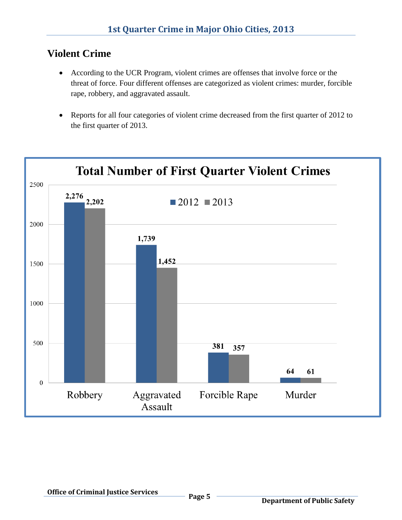#### **Violent Crime**

- According to the UCR Program, violent crimes are offenses that involve force or the threat of force. Four different offenses are categorized as violent crimes: murder, forcible rape, robbery, and aggravated assault.
- Reports for all four categories of violent crime decreased from the first quarter of 2012 to the first quarter of 2013.

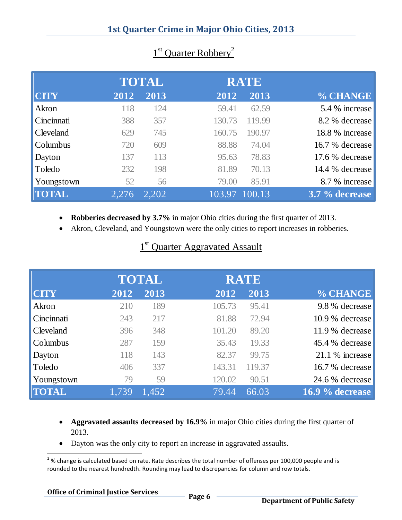|              |       | <b>TOTAL</b> |        | <b>RATE</b> |                 |
|--------------|-------|--------------|--------|-------------|-----------------|
| <b>CITY</b>  | 2012  | 2013         | 2012   | 2013        | % CHANGE        |
| Akron        | 118   | 124          | 59.41  | 62.59       | 5.4 % increase  |
| Cincinnati   | 388   | 357          | 130.73 | 119.99      | 8.2 % decrease  |
| Cleveland    | 629   | 745          | 160.75 | 190.97      | 18.8 % increase |
| Columbus     | 720   | 609          | 88.88  | 74.04       | 16.7 % decrease |
| Dayton       | 137   | 113          | 95.63  | 78.83       | 17.6 % decrease |
| Toledo       | 232   | 198          | 81.89  | 70.13       | 14.4 % decrease |
| Youngstown   | 52    | 56           | 79.00  | 85.91       | 8.7 % increase  |
| <b>TOTAL</b> | 2,276 | 2,202        | 103.97 | 100.13      | 3.7 % decrease  |

#### $1$  1  $1$  $1<sup>st</sup>$  Quarter Robbery<sup>2</sup>

- **Robberies decreased by 3.7%** in major Ohio cities during the first quarter of 2013.
- Akron, Cleveland, and Youngstown were the only cities to report increases in robberies.

# 1<sup>st</sup> Quarter Aggravated Assault

|              |       | <b>TOTAL</b> | <b>RATE</b> |        |                 |
|--------------|-------|--------------|-------------|--------|-----------------|
| <b>CITY</b>  | 2012  | 2013         | 2012        | 2013   | % CHANGE        |
| Akron        | 210   | 189          | 105.73      | 95.41  | 9.8 % decrease  |
| Cincinnati   | 243   | 217          | 81.88       | 72.94  | 10.9 % decrease |
| Cleveland    | 396   | 348          | 101.20      | 89.20  | 11.9 % decrease |
| Columbus     | 287   | 159          | 35.43       | 19.33  | 45.4 % decrease |
| Dayton       | 118   | 143          | 82.37       | 99.75  | 21.1 % increase |
| Toledo       | 406   | 337          | 143.31      | 119.37 | 16.7 % decrease |
| Youngstown   | 79    | 59           | 120.02      | 90.51  | 24.6 % decrease |
| <b>TOTAL</b> | 1,739 | 1.452        | 79.44       | 66.03  | 16.9 % decrease |

- **Aggravated assaults decreased by 16.9%** in major Ohio cities during the first quarter of 2013.
- Dayton was the only city to report an increase in aggravated assaults.

l  $2\%$  change is calculated based on rate. Rate describes the total number of offenses per 100,000 people and is rounded to the nearest hundredth. Rounding may lead to discrepancies for column and row totals.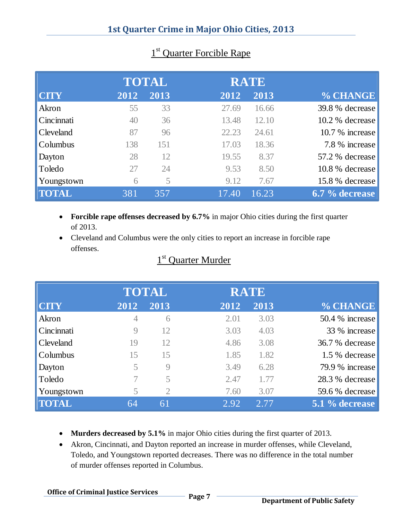|              |      | <b>TOTAL</b> |       | <b>RATE</b> |                 |
|--------------|------|--------------|-------|-------------|-----------------|
| <b>CITY</b>  | 2012 | 2013         | 2012  | 2013        | % CHANGE        |
| Akron        | 55   | 33           | 27.69 | 16.66       | 39.8 % decrease |
| Cincinnati   | 40   | 36           | 13.48 | 12.10       | 10.2 % decrease |
| Cleveland    | 87   | 96           | 22.23 | 24.61       | 10.7 % increase |
| Columbus     | 138  | 151          | 17.03 | 18.36       | 7.8 % increase  |
| Dayton       | 28   | 12           | 19.55 | 8.37        | 57.2 % decrease |
| Toledo       | 27   | 24           | 9.53  | 8.50        | 10.8 % decrease |
| Youngstown   | 6    | 5            | 9.12  | 7.67        | 15.8 % decrease |
| <b>TOTAL</b> | 381  | 357          | 17.40 | 16.23       | 6.7 % decrease  |

### 1<sup>st</sup> Quarter Forcible Rape

- **Forcible rape offenses decreased by 6.7%** in major Ohio cities during the first quarter of 2013.
- Cleveland and Columbus were the only cities to report an increase in forcible rape offenses.

#### $\frac{1}{1}$ 1<sup>st</sup> Quarter Murder

|              |                | <b>TOTAL</b>   |      | <b>RATE</b> |                 |
|--------------|----------------|----------------|------|-------------|-----------------|
| <b>CITY</b>  | 2012           | 2013           | 2012 | 2013        | % CHANGE        |
| Akron        | $\overline{4}$ | 6              | 2.01 | 3.03        | 50.4 % increase |
| Cincinnati   | $\overline{Q}$ | 12             | 3.03 | 4.03        | 33 % increase   |
| Cleveland    | 19             | 12             | 4.86 | 3.08        | 36.7 % decrease |
| Columbus     | 15             | 15             | 1.85 | 1.82        | 1.5 % decrease  |
| Dayton       | 5              | 9              | 3.49 | 6.28        | 79.9 % increase |
| Toledo       |                | 5              | 2.47 | 1.77        | 28.3 % decrease |
| Youngstown   | 5              | $\overline{2}$ | 7.60 | 3.07        | 59.6 % decrease |
| <b>TOTAL</b> | 64             | 61             | 2.92 | 2.77        | 5.1 % decrease  |
|              |                |                |      |             |                 |

- **Murders decreased by 5.1%** in major Ohio cities during the first quarter of 2013.
- Akron, Cincinnati, and Dayton reported an increase in murder offenses, while Cleveland, Toledo, and Youngstown reported decreases. There was no difference in the total number of murder offenses reported in Columbus.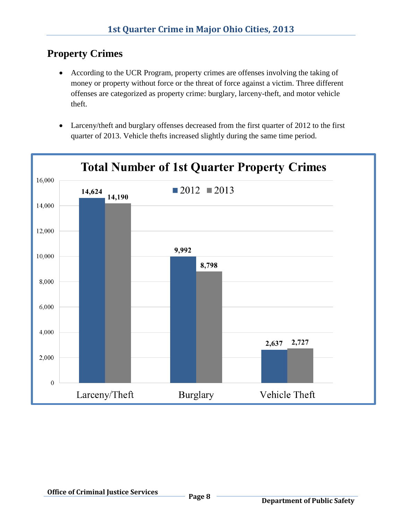# **Property Crimes**

- According to the UCR Program, property crimes are offenses involving the taking of money or property without force or the threat of force against a victim. Three different offenses are categorized as property crime: burglary, larceny-theft, and motor vehicle theft.
- Larceny/theft and burglary offenses decreased from the first quarter of 2012 to the first quarter of 2013. Vehicle thefts increased slightly during the same time period.

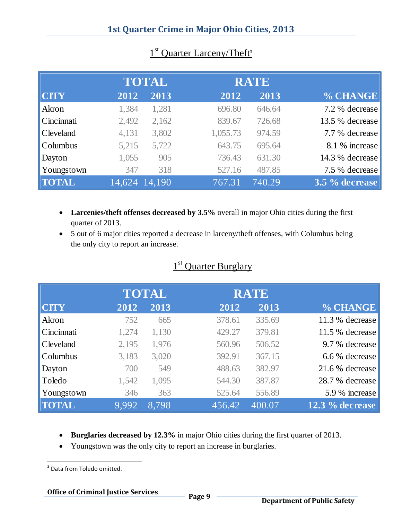|              |       | <b>TOTAL</b>                            | <b>RATE</b> |        |                 |
|--------------|-------|-----------------------------------------|-------------|--------|-----------------|
| <b>CITY</b>  | 2012  | 2013                                    | 2012        | 2013   | % CHANGE        |
| Akron        | 1,384 | 1,281                                   | 696.80      | 646.64 | 7.2 % decrease  |
| Cincinnati   | 2,492 | 2,162                                   | 839.67      | 726.68 | 13.5 % decrease |
| Cleveland    | 4,131 | 3,802                                   | 1,055.73    | 974.59 | 7.7 % decrease  |
| Columbus     | 5,215 | 5,722                                   | 643.75      | 695.64 | 8.1 % increase  |
| Dayton       | 1,055 | 905                                     | 736.43      | 631.30 | 14.3 % decrease |
| Youngstown   | 347   | 318                                     | 527.16      | 487.85 | 7.5 % decrease  |
| <b>TOTAL</b> |       | $\overline{14,624}$ $\overline{14,190}$ | 767.31      | 740.29 | 3.5 % decrease  |

### 1<sup>st</sup> Quarter Larceny/Theft<sup>3</sup>

- **Larcenies/theft offenses decreased by 3.5%** overall in major Ohio cities during the first quarter of 2013.
- 5 out of 6 major cities reported a decrease in larceny/theft offenses, with Columbus being the only city to report an increase.

#### 1<sup>st</sup> Quarter Burglary

|              | <b>TOTAL</b> |       | <b>RATE</b> |        |                   |
|--------------|--------------|-------|-------------|--------|-------------------|
| <b>CTY</b>   | 2012         | 2013  | 2012        | 2013   | % CHANGE          |
| Akron        | 752          | 665   | 378.61      | 335.69 | 11.3 % decrease   |
| Cincinnati   | 1,274        | 1,130 | 429.27      | 379.81 | 11.5 % decrease   |
| Cleveland    | 2,195        | 1,976 | 560.96      | 506.52 | 9.7 % decrease    |
| Columbus     | 3,183        | 3,020 | 392.91      | 367.15 | 6.6 % decrease    |
| Dayton       | 700          | 549   | 488.63      | 382.97 | 21.6 % decrease   |
| Toledo       | 1,542        | 1,095 | 544.30      | 387.87 | 28.7 % decrease   |
| Youngstown   | 346          | 363   | 525.64      | 556.89 | 5.9 % increase    |
| <b>TOTAL</b> | 9.992        | 8.798 | 456.42      | 400.07 | $12.3\%$ decrease |

- **Burglaries decreased by 12.3%** in major Ohio cities during the first quarter of 2013.
- Youngstown was the only city to report an increase in burglaries.

**Office of Criminal Justice Services Page 9**

 3 Data from Toledo omitted.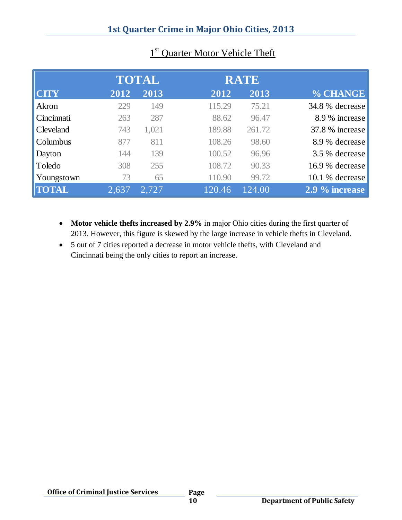|              | <b>TOTAL</b> |       | <b>RATE</b> |        |                 |
|--------------|--------------|-------|-------------|--------|-----------------|
| <b>CITY</b>  | 2012         | 2013  | 2012        | 2013   | % CHANGE        |
| Akron        | 229          | 149   | 115.29      | 75.21  | 34.8 % decrease |
| Cincinnati   | 263          | 287   | 88.62       | 96.47  | 8.9 % increase  |
| Cleveland    | 743          | 1,021 | 189.88      | 261.72 | 37.8 % increase |
| Columbus     | 877          | 811   | 108.26      | 98.60  | 8.9 % decrease  |
| Dayton       | 144          | 139   | 100.52      | 96.96  | 3.5 % decrease  |
| Toledo       | 308          | 255   | 108.72      | 90.33  | 16.9 % decrease |
| Youngstown   | 73           | 65    | 110.90      | 99.72  | 10.1 % decrease |
| <b>TOTAL</b> | 2.637        | 2,727 | 120.46      | 124.00 | 2.9 % increase  |

#### 1<sup>st</sup> Quarter Motor Vehicle Theft

- **Motor vehicle thefts increased by 2.9%** in major Ohio cities during the first quarter of 2013. However, this figure is skewed by the large increase in vehicle thefts in Cleveland.
- 5 out of 7 cities reported a decrease in motor vehicle thefts, with Cleveland and Cincinnati being the only cities to report an increase.